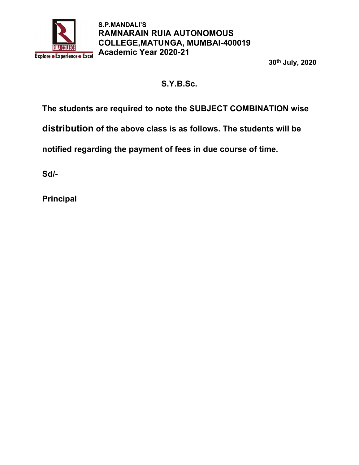

30th July, 2020

# S.Y.B.Sc.

The students are required to note the SUBJECT COMBINATION wise

distribution of the above class is as follows. The students will be

notified regarding the payment of fees in due course of time.

Sd/-

Principal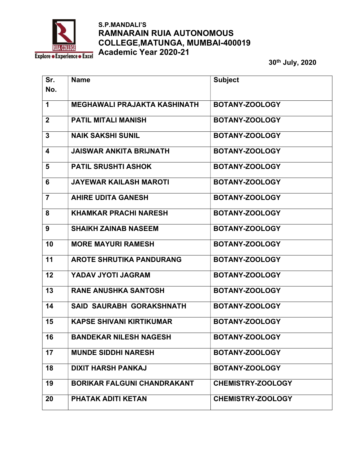

| Sr.            | <b>Name</b>                         | <b>Subject</b>           |
|----------------|-------------------------------------|--------------------------|
| No.            |                                     |                          |
| $\mathbf 1$    | <b>MEGHAWALI PRAJAKTA KASHINATH</b> | BOTANY-ZOOLOGY           |
| $\overline{2}$ | <b>PATIL MITALI MANISH</b>          | BOTANY-ZOOLOGY           |
| $\mathbf{3}$   | <b>NAIK SAKSHI SUNIL</b>            | BOTANY-ZOOLOGY           |
| 4              | <b>JAISWAR ANKITA BRIJNATH</b>      | BOTANY-ZOOLOGY           |
| $5\phantom{1}$ | <b>PATIL SRUSHTI ASHOK</b>          | BOTANY-ZOOLOGY           |
| 6              | <b>JAYEWAR KAILASH MAROTI</b>       | BOTANY-ZOOLOGY           |
| $\overline{7}$ | <b>AHIRE UDITA GANESH</b>           | BOTANY-ZOOLOGY           |
| 8              | <b>KHAMKAR PRACHI NARESH</b>        | BOTANY-ZOOLOGY           |
| 9              | <b>SHAIKH ZAINAB NASEEM</b>         | BOTANY-ZOOLOGY           |
| 10             | <b>MORE MAYURI RAMESH</b>           | BOTANY-ZOOLOGY           |
| 11             | <b>AROTE SHRUTIKA PANDURANG</b>     | BOTANY-ZOOLOGY           |
| 12             | YADAV JYOTI JAGRAM                  | BOTANY-ZOOLOGY           |
| 13             | <b>RANE ANUSHKA SANTOSH</b>         | BOTANY-ZOOLOGY           |
| 14             | <b>SAID SAURABH GORAKSHNATH</b>     | BOTANY-ZOOLOGY           |
| 15             | <b>KAPSE SHIVANI KIRTIKUMAR</b>     | BOTANY-ZOOLOGY           |
| 16             | <b>BANDEKAR NILESH NAGESH</b>       | BOTANY-ZOOLOGY           |
| 17             | <b>MUNDE SIDDHI NARESH</b>          | BOTANY-ZOOLOGY           |
| 18             | <b>DIXIT HARSH PANKAJ</b>           | BOTANY-ZOOLOGY           |
| 19             | <b>BORIKAR FALGUNI CHANDRAKANT</b>  | <b>CHEMISTRY-ZOOLOGY</b> |
| 20             | PHATAK ADITI KETAN                  | <b>CHEMISTRY-ZOOLOGY</b> |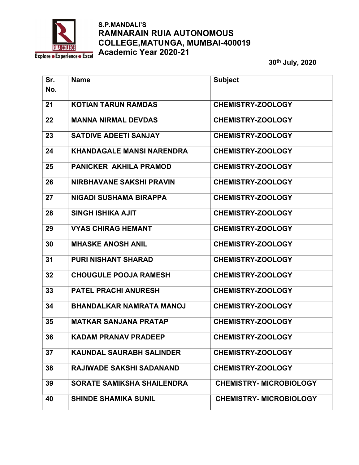

| Sr. | <b>Name</b>                       | <b>Subject</b>                |
|-----|-----------------------------------|-------------------------------|
| No. |                                   |                               |
| 21  | <b>KOTIAN TARUN RAMDAS</b>        | <b>CHEMISTRY-ZOOLOGY</b>      |
| 22  | <b>MANNA NIRMAL DEVDAS</b>        | <b>CHEMISTRY-ZOOLOGY</b>      |
| 23  | <b>SATDIVE ADEETI SANJAY</b>      | <b>CHEMISTRY-ZOOLOGY</b>      |
| 24  | <b>KHANDAGALE MANSI NARENDRA</b>  | <b>CHEMISTRY-ZOOLOGY</b>      |
| 25  | <b>PANICKER AKHILA PRAMOD</b>     | <b>CHEMISTRY-ZOOLOGY</b>      |
| 26  | <b>NIRBHAVANE SAKSHI PRAVIN</b>   | <b>CHEMISTRY-ZOOLOGY</b>      |
| 27  | NIGADI SUSHAMA BIRAPPA            | <b>CHEMISTRY-ZOOLOGY</b>      |
| 28  | <b>SINGH ISHIKA AJIT</b>          | <b>CHEMISTRY-ZOOLOGY</b>      |
| 29  | <b>VYAS CHIRAG HEMANT</b>         | <b>CHEMISTRY-ZOOLOGY</b>      |
| 30  | <b>MHASKE ANOSH ANIL</b>          | <b>CHEMISTRY-ZOOLOGY</b>      |
| 31  | <b>PURI NISHANT SHARAD</b>        | <b>CHEMISTRY-ZOOLOGY</b>      |
| 32  | <b>CHOUGULE POOJA RAMESH</b>      | <b>CHEMISTRY-ZOOLOGY</b>      |
| 33  | <b>PATEL PRACHI ANURESH</b>       | <b>CHEMISTRY-ZOOLOGY</b>      |
| 34  | <b>BHANDALKAR NAMRATA MANOJ</b>   | <b>CHEMISTRY-ZOOLOGY</b>      |
| 35  | <b>MATKAR SANJANA PRATAP</b>      | <b>CHEMISTRY-ZOOLOGY</b>      |
| 36  | KADAM PRANAV PRADEEP              | <b>CHEMISTRY-ZOOLOGY</b>      |
| 37  | <b>KAUNDAL SAURABH SALINDER</b>   | <b>CHEMISTRY-ZOOLOGY</b>      |
| 38  | <b>RAJIWADE SAKSHI SADANAND</b>   | <b>CHEMISTRY-ZOOLOGY</b>      |
| 39  | <b>SORATE SAMIKSHA SHAILENDRA</b> | <b>CHEMISTRY-MICROBIOLOGY</b> |
| 40  | <b>SHINDE SHAMIKA SUNIL</b>       | <b>CHEMISTRY-MICROBIOLOGY</b> |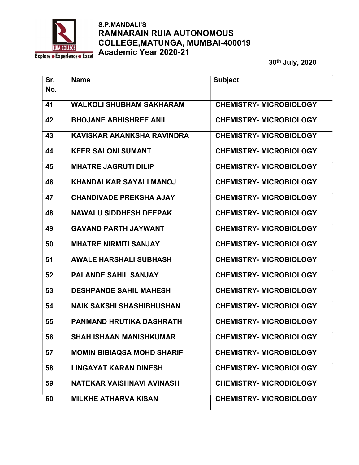

| Sr.<br>No. | <b>Name</b>                       | <b>Subject</b>                 |
|------------|-----------------------------------|--------------------------------|
| 41         | <b>WALKOLI SHUBHAM SAKHARAM</b>   | <b>CHEMISTRY- MICROBIOLOGY</b> |
| 42         | <b>BHOJANE ABHISHREE ANIL</b>     | <b>CHEMISTRY-MICROBIOLOGY</b>  |
| 43         | KAVISKAR AKANKSHA RAVINDRA        | <b>CHEMISTRY- MICROBIOLOGY</b> |
| 44         | <b>KEER SALONI SUMANT</b>         | <b>CHEMISTRY- MICROBIOLOGY</b> |
| 45         | <b>MHATRE JAGRUTI DILIP</b>       | <b>CHEMISTRY- MICROBIOLOGY</b> |
| 46         | <b>KHANDALKAR SAYALI MANOJ</b>    | <b>CHEMISTRY- MICROBIOLOGY</b> |
| 47         | <b>CHANDIVADE PREKSHA AJAY</b>    | <b>CHEMISTRY-MICROBIOLOGY</b>  |
| 48         | <b>NAWALU SIDDHESH DEEPAK</b>     | <b>CHEMISTRY- MICROBIOLOGY</b> |
| 49         | <b>GAVAND PARTH JAYWANT</b>       | <b>CHEMISTRY- MICROBIOLOGY</b> |
| 50         | <b>MHATRE NIRMITI SANJAY</b>      | <b>CHEMISTRY- MICROBIOLOGY</b> |
| 51         | <b>AWALE HARSHALI SUBHASH</b>     | <b>CHEMISTRY-MICROBIOLOGY</b>  |
| 52         | <b>PALANDE SAHIL SANJAY</b>       | <b>CHEMISTRY- MICROBIOLOGY</b> |
| 53         | <b>DESHPANDE SAHIL MAHESH</b>     | <b>CHEMISTRY- MICROBIOLOGY</b> |
| 54         | <b>NAIK SAKSHI SHASHIBHUSHAN</b>  | <b>CHEMISTRY-MICROBIOLOGY</b>  |
| 55         | <b>PANMAND HRUTIKA DASHRATH</b>   | <b>CHEMISTRY- MICROBIOLOGY</b> |
| 56         | <b>SHAH ISHAAN MANISHKUMAR</b>    | <b>CHEMISTRY- MICROBIOLOGY</b> |
| 57         | <b>MOMIN BIBIAQSA MOHD SHARIF</b> | <b>CHEMISTRY- MICROBIOLOGY</b> |
| 58         | <b>LINGAYAT KARAN DINESH</b>      | <b>CHEMISTRY- MICROBIOLOGY</b> |
| 59         | NATEKAR VAISHNAVI AVINASH         | <b>CHEMISTRY- MICROBIOLOGY</b> |
| 60         | <b>MILKHE ATHARVA KISAN</b>       | <b>CHEMISTRY-MICROBIOLOGY</b>  |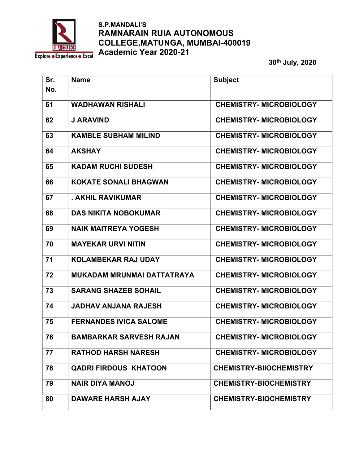

| Sr.<br>No. | <b>Name</b>                       | <b>Subject</b>                 |
|------------|-----------------------------------|--------------------------------|
| 61         | <b>WADHAWAN RISHALI</b>           | <b>CHEMISTRY- MICROBIOLOGY</b> |
| 62         | <b>J ARAVIND</b>                  | <b>CHEMISTRY- MICROBIOLOGY</b> |
| 63         | <b>KAMBLE SUBHAM MILIND</b>       | <b>CHEMISTRY- MICROBIOLOGY</b> |
| 64         | <b>AKSHAY</b>                     | <b>CHEMISTRY- MICROBIOLOGY</b> |
| 65         | <b>KADAM RUCHI SUDESH</b>         | <b>CHEMISTRY- MICROBIOLOGY</b> |
| 66         | <b>KOKATE SONALI BHAGWAN</b>      | <b>CHEMISTRY-MICROBIOLOGY</b>  |
| 67         | . AKHIL RAVIKUMAR                 | <b>CHEMISTRY- MICROBIOLOGY</b> |
| 68         | <b>DAS NIKITA NOBOKUMAR</b>       | <b>CHEMISTRY- MICROBIOLOGY</b> |
| 69         | <b>NAIK MAITREYA YOGESH</b>       | <b>CHEMISTRY- MICROBIOLOGY</b> |
| 70         | <b>MAYEKAR URVI NITIN</b>         | <b>CHEMISTRY- MICROBIOLOGY</b> |
| 71         | <b>KOLAMBEKAR RAJ UDAY</b>        | <b>CHEMISTRY-MICROBIOLOGY</b>  |
| 72         | <b>MUKADAM MRUNMAI DATTATRAYA</b> | <b>CHEMISTRY- MICROBIOLOGY</b> |
| 73         | <b>SARANG SHAZEB SOHAIL</b>       | <b>CHEMISTRY- MICROBIOLOGY</b> |
| 74         | <b>JADHAV ANJANA RAJESH</b>       | <b>CHEMISTRY-MICROBIOLOGY</b>  |
| 75         | <b>FERNANDES IVICA SALOME</b>     | <b>CHEMISTRY- MICROBIOLOGY</b> |
| 76         | <b>BAMBARKAR SARVESH RAJAN</b>    | <b>CHEMISTRY-MICROBIOLOGY</b>  |
| 77         | <b>RATHOD HARSH NARESH</b>        | <b>CHEMISTRY- MICROBIOLOGY</b> |
| 78         | <b>QADRI FIRDOUS KHATOON</b>      | <b>CHEMISTRY-BIIOCHEMISTRY</b> |
| 79         | <b>NAIR DIYA MANOJ</b>            | <b>CHEMISTRY-BIOCHEMISTRY</b>  |
| 80         | <b>DAWARE HARSH AJAY</b>          | <b>CHEMISTRY-BIOCHEMISTRY</b>  |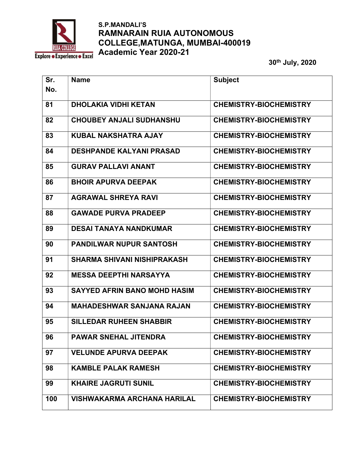

| Sr. | <b>Name</b>                         | <b>Subject</b>                |
|-----|-------------------------------------|-------------------------------|
| No. |                                     |                               |
| 81  | <b>DHOLAKIA VIDHI KETAN</b>         | <b>CHEMISTRY-BIOCHEMISTRY</b> |
| 82  | <b>CHOUBEY ANJALI SUDHANSHU</b>     | <b>CHEMISTRY-BIOCHEMISTRY</b> |
| 83  | <b>KUBAL NAKSHATRA AJAY</b>         | <b>CHEMISTRY-BIOCHEMISTRY</b> |
| 84  | <b>DESHPANDE KALYANI PRASAD</b>     | <b>CHEMISTRY-BIOCHEMISTRY</b> |
| 85  | <b>GURAV PALLAVI ANANT</b>          | <b>CHEMISTRY-BIOCHEMISTRY</b> |
| 86  | <b>BHOIR APURVA DEEPAK</b>          | <b>CHEMISTRY-BIOCHEMISTRY</b> |
| 87  | <b>AGRAWAL SHREYA RAVI</b>          | <b>CHEMISTRY-BIOCHEMISTRY</b> |
| 88  | <b>GAWADE PURVA PRADEEP</b>         | <b>CHEMISTRY-BIOCHEMISTRY</b> |
| 89  | <b>DESAI TANAYA NANDKUMAR</b>       | <b>CHEMISTRY-BIOCHEMISTRY</b> |
| 90  | <b>PANDILWAR NUPUR SANTOSH</b>      | <b>CHEMISTRY-BIOCHEMISTRY</b> |
| 91  | <b>SHARMA SHIVANI NISHIPRAKASH</b>  | <b>CHEMISTRY-BIOCHEMISTRY</b> |
| 92  | <b>MESSA DEEPTHI NARSAYYA</b>       | <b>CHEMISTRY-BIOCHEMISTRY</b> |
| 93  | <b>SAYYED AFRIN BANO MOHD HASIM</b> | <b>CHEMISTRY-BIOCHEMISTRY</b> |
| 94  | <b>MAHADESHWAR SANJANA RAJAN</b>    | <b>CHEMISTRY-BIOCHEMISTRY</b> |
| 95  | <b>SILLEDAR RUHEEN SHABBIR</b>      | <b>CHEMISTRY-BIOCHEMISTRY</b> |
| 96  | <b>PAWAR SNEHAL JITENDRA</b>        | <b>CHEMISTRY-BIOCHEMISTRY</b> |
| 97  | <b>VELUNDE APURVA DEEPAK</b>        | <b>CHEMISTRY-BIOCHEMISTRY</b> |
| 98  | <b>KAMBLE PALAK RAMESH</b>          | <b>CHEMISTRY-BIOCHEMISTRY</b> |
| 99  | <b>KHAIRE JAGRUTI SUNIL</b>         | <b>CHEMISTRY-BIOCHEMISTRY</b> |
| 100 | <b>VISHWAKARMA ARCHANA HARILAL</b>  | <b>CHEMISTRY-BIOCHEMISTRY</b> |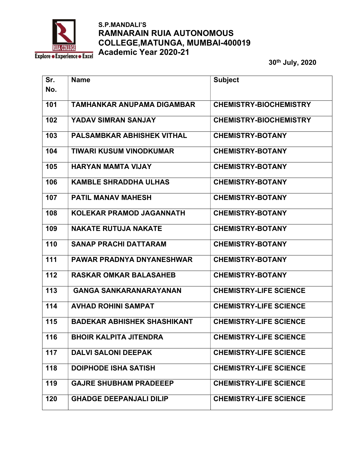

| Sr. | <b>Name</b>                        | <b>Subject</b>                |
|-----|------------------------------------|-------------------------------|
| No. |                                    |                               |
| 101 | <b>TAMHANKAR ANUPAMA DIGAMBAR</b>  | <b>CHEMISTRY-BIOCHEMISTRY</b> |
| 102 | <b>YADAV SIMRAN SANJAY</b>         | <b>CHEMISTRY-BIOCHEMISTRY</b> |
| 103 | <b>PALSAMBKAR ABHISHEK VITHAL</b>  | <b>CHEMISTRY-BOTANY</b>       |
| 104 | <b>TIWARI KUSUM VINODKUMAR</b>     | <b>CHEMISTRY-BOTANY</b>       |
| 105 | <b>HARYAN MAMTA VIJAY</b>          | <b>CHEMISTRY-BOTANY</b>       |
| 106 | <b>KAMBLE SHRADDHA ULHAS</b>       | <b>CHEMISTRY-BOTANY</b>       |
| 107 | <b>PATIL MANAV MAHESH</b>          | <b>CHEMISTRY-BOTANY</b>       |
| 108 | <b>KOLEKAR PRAMOD JAGANNATH</b>    | <b>CHEMISTRY-BOTANY</b>       |
| 109 | <b>NAKATE RUTUJA NAKATE</b>        | <b>CHEMISTRY-BOTANY</b>       |
| 110 | <b>SANAP PRACHI DATTARAM</b>       | <b>CHEMISTRY-BOTANY</b>       |
| 111 | <b>PAWAR PRADNYA DNYANESHWAR</b>   | <b>CHEMISTRY-BOTANY</b>       |
| 112 | <b>RASKAR OMKAR BALASAHEB</b>      | <b>CHEMISTRY-BOTANY</b>       |
| 113 | <b>GANGA SANKARANARAYANAN</b>      | <b>CHEMISTRY-LIFE SCIENCE</b> |
| 114 | <b>AVHAD ROHINI SAMPAT</b>         | <b>CHEMISTRY-LIFE SCIENCE</b> |
| 115 | <b>BADEKAR ABHISHEK SHASHIKANT</b> | <b>CHEMISTRY-LIFE SCIENCE</b> |
| 116 | <b>BHOIR KALPITA JITENDRA</b>      | <b>CHEMISTRY-LIFE SCIENCE</b> |
| 117 | <b>DALVI SALONI DEEPAK</b>         | <b>CHEMISTRY-LIFE SCIENCE</b> |
| 118 | <b>DOIPHODE ISHA SATISH</b>        | <b>CHEMISTRY-LIFE SCIENCE</b> |
| 119 | <b>GAJRE SHUBHAM PRADEEEP</b>      | <b>CHEMISTRY-LIFE SCIENCE</b> |
| 120 | <b>GHADGE DEEPANJALI DILIP</b>     | <b>CHEMISTRY-LIFE SCIENCE</b> |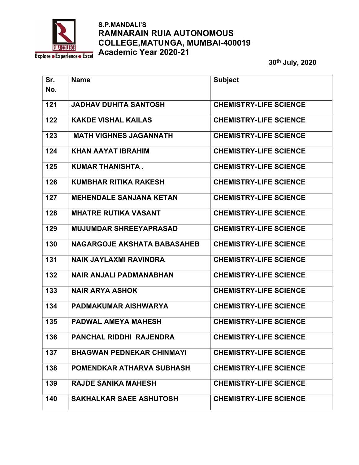

| Sr.<br>No. | <b>Name</b>                        | <b>Subject</b>                |
|------------|------------------------------------|-------------------------------|
| 121        | <b>JADHAV DUHITA SANTOSH</b>       | <b>CHEMISTRY-LIFE SCIENCE</b> |
| 122        | <b>KAKDE VISHAL KAILAS</b>         | <b>CHEMISTRY-LIFE SCIENCE</b> |
| 123        | <b>MATH VIGHNES JAGANNATH</b>      | <b>CHEMISTRY-LIFE SCIENCE</b> |
| 124        | <b>KHAN AAYAT IBRAHIM</b>          | <b>CHEMISTRY-LIFE SCIENCE</b> |
| 125        | <b>KUMAR THANISHTA.</b>            | <b>CHEMISTRY-LIFE SCIENCE</b> |
| 126        | <b>KUMBHAR RITIKA RAKESH</b>       | <b>CHEMISTRY-LIFE SCIENCE</b> |
| 127        | <b>MEHENDALE SANJANA KETAN</b>     | <b>CHEMISTRY-LIFE SCIENCE</b> |
| 128        | <b>MHATRE RUTIKA VASANT</b>        | <b>CHEMISTRY-LIFE SCIENCE</b> |
| 129        | <b>MUJUMDAR SHREEYAPRASAD</b>      | <b>CHEMISTRY-LIFE SCIENCE</b> |
| 130        | <b>NAGARGOJE AKSHATA BABASAHEB</b> | <b>CHEMISTRY-LIFE SCIENCE</b> |
| 131        | <b>NAIK JAYLAXMI RAVINDRA</b>      | <b>CHEMISTRY-LIFE SCIENCE</b> |
| 132        | <b>NAIR ANJALI PADMANABHAN</b>     | <b>CHEMISTRY-LIFE SCIENCE</b> |
| 133        | <b>NAIR ARYA ASHOK</b>             | <b>CHEMISTRY-LIFE SCIENCE</b> |
| 134        | <b>PADMAKUMAR AISHWARYA</b>        | <b>CHEMISTRY-LIFE SCIENCE</b> |
| 135        | <b>PADWAL AMEYA MAHESH</b>         | <b>CHEMISTRY-LIFE SCIENCE</b> |
| 136        | PANCHAL RIDDHI RAJENDRA            | <b>CHEMISTRY-LIFE SCIENCE</b> |
| 137        | <b>BHAGWAN PEDNEKAR CHINMAYI</b>   | <b>CHEMISTRY-LIFE SCIENCE</b> |
| 138        | <b>POMENDKAR ATHARVA SUBHASH</b>   | <b>CHEMISTRY-LIFE SCIENCE</b> |
| 139        | <b>RAJDE SANIKA MAHESH</b>         | <b>CHEMISTRY-LIFE SCIENCE</b> |
| 140        | <b>SAKHALKAR SAEE ASHUTOSH</b>     | <b>CHEMISTRY-LIFE SCIENCE</b> |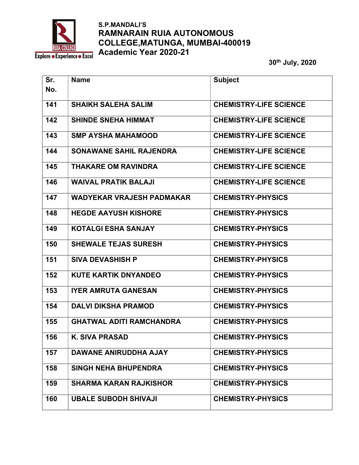

| Sr.<br>No. | <b>Name</b>                      | <b>Subject</b>                |
|------------|----------------------------------|-------------------------------|
|            |                                  |                               |
| 141        | <b>SHAIKH SALEHA SALIM</b>       | <b>CHEMISTRY-LIFE SCIENCE</b> |
| 142        | <b>SHINDE SNEHA HIMMAT</b>       | <b>CHEMISTRY-LIFE SCIENCE</b> |
| 143        | <b>SMP AYSHA MAHAMOOD</b>        | <b>CHEMISTRY-LIFE SCIENCE</b> |
| 144        | <b>SONAWANE SAHIL RAJENDRA</b>   | <b>CHEMISTRY-LIFE SCIENCE</b> |
| 145        | <b>THAKARE OM RAVINDRA</b>       | <b>CHEMISTRY-LIFE SCIENCE</b> |
| 146        | <b>WAIVAL PRATIK BALAJI</b>      | <b>CHEMISTRY-LIFE SCIENCE</b> |
| 147        | <b>WADYEKAR VRAJESH PADMAKAR</b> | <b>CHEMISTRY-PHYSICS</b>      |
| 148        | <b>HEGDE AAYUSH KISHORE</b>      | <b>CHEMISTRY-PHYSICS</b>      |
| 149        | <b>KOTALGI ESHA SANJAY</b>       | <b>CHEMISTRY-PHYSICS</b>      |
| 150        | <b>SHEWALE TEJAS SURESH</b>      | <b>CHEMISTRY-PHYSICS</b>      |
| 151        | <b>SIVA DEVASHISH P</b>          | <b>CHEMISTRY-PHYSICS</b>      |
| 152        | <b>KUTE KARTIK DNYANDEO</b>      | <b>CHEMISTRY-PHYSICS</b>      |
| 153        | <b>IYER AMRUTA GANESAN</b>       | <b>CHEMISTRY-PHYSICS</b>      |
| 154        | <b>DALVI DIKSHA PRAMOD</b>       | <b>CHEMISTRY-PHYSICS</b>      |
| 155        | <b>GHATWAL ADITI RAMCHANDRA</b>  | <b>CHEMISTRY-PHYSICS</b>      |
| 156        | <b>K. SIVA PRASAD</b>            | <b>CHEMISTRY-PHYSICS</b>      |
| 157        | <b>DAWANE ANIRUDDHA AJAY</b>     | <b>CHEMISTRY-PHYSICS</b>      |
| 158        | <b>SINGH NEHA BHUPENDRA</b>      | <b>CHEMISTRY-PHYSICS</b>      |
| 159        | <b>SHARMA KARAN RAJKISHOR</b>    | <b>CHEMISTRY-PHYSICS</b>      |
| 160        | <b>UBALE SUBODH SHIVAJI</b>      | <b>CHEMISTRY-PHYSICS</b>      |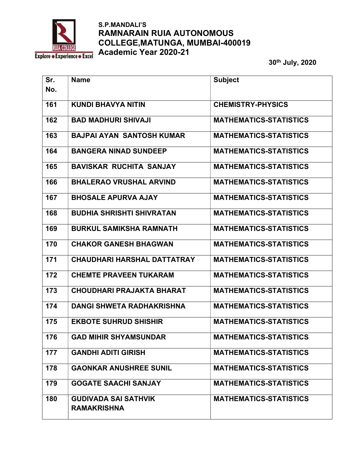

| Sr. | <b>Name</b>                                       | <b>Subject</b>                |
|-----|---------------------------------------------------|-------------------------------|
| No. |                                                   |                               |
| 161 | <b>KUNDI BHAVYA NITIN</b>                         | <b>CHEMISTRY-PHYSICS</b>      |
| 162 | <b>BAD MADHURI SHIVAJI</b>                        | <b>MATHEMATICS-STATISTICS</b> |
| 163 | <b>BAJPAI AYAN SANTOSH KUMAR</b>                  | <b>MATHEMATICS-STATISTICS</b> |
| 164 | <b>BANGERA NINAD SUNDEEP</b>                      | <b>MATHEMATICS-STATISTICS</b> |
| 165 | <b>BAVISKAR RUCHITA SANJAY</b>                    | <b>MATHEMATICS-STATISTICS</b> |
| 166 | <b>BHALERAO VRUSHAL ARVIND</b>                    | <b>MATHEMATICS-STATISTICS</b> |
| 167 | <b>BHOSALE APURVA AJAY</b>                        | <b>MATHEMATICS-STATISTICS</b> |
| 168 | <b>BUDHIA SHRISHTI SHIVRATAN</b>                  | <b>MATHEMATICS-STATISTICS</b> |
| 169 | <b>BURKUL SAMIKSHA RAMNATH</b>                    | <b>MATHEMATICS-STATISTICS</b> |
| 170 | <b>CHAKOR GANESH BHAGWAN</b>                      | <b>MATHEMATICS-STATISTICS</b> |
| 171 | <b>CHAUDHARI HARSHAL DATTATRAY</b>                | <b>MATHEMATICS-STATISTICS</b> |
| 172 | <b>CHEMTE PRAVEEN TUKARAM</b>                     | <b>MATHEMATICS-STATISTICS</b> |
| 173 | <b>CHOUDHARI PRAJAKTA BHARAT</b>                  | <b>MATHEMATICS-STATISTICS</b> |
| 174 | <b>DANGI SHWETA RADHAKRISHNA</b>                  | <b>MATHEMATICS-STATISTICS</b> |
| 175 | <b>EKBOTE SUHRUD SHISHIR</b>                      | <b>MATHEMATICS-STATISTICS</b> |
| 176 | <b>GAD MIHIR SHYAMSUNDAR</b>                      | <b>MATHEMATICS-STATISTICS</b> |
| 177 | <b>GANDHI ADITI GIRISH</b>                        | <b>MATHEMATICS-STATISTICS</b> |
| 178 | <b>GAONKAR ANUSHREE SUNIL</b>                     | <b>MATHEMATICS-STATISTICS</b> |
| 179 | <b>GOGATE SAACHI SANJAY</b>                       | <b>MATHEMATICS-STATISTICS</b> |
| 180 | <b>GUDIVADA SAI SATHVIK</b><br><b>RAMAKRISHNA</b> | <b>MATHEMATICS-STATISTICS</b> |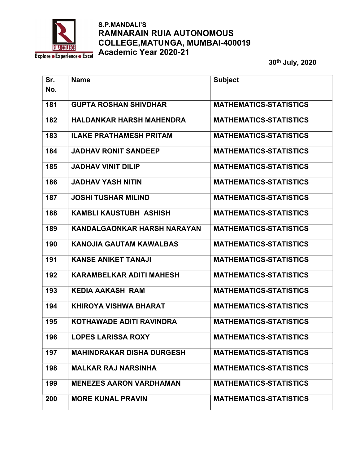

| Sr. | <b>Name</b>                        | <b>Subject</b>                |
|-----|------------------------------------|-------------------------------|
| No. |                                    |                               |
| 181 | <b>GUPTA ROSHAN SHIVDHAR</b>       | <b>MATHEMATICS-STATISTICS</b> |
| 182 | <b>HALDANKAR HARSH MAHENDRA</b>    | <b>MATHEMATICS-STATISTICS</b> |
| 183 | <b>ILAKE PRATHAMESH PRITAM</b>     | <b>MATHEMATICS-STATISTICS</b> |
| 184 | <b>JADHAV RONIT SANDEEP</b>        | <b>MATHEMATICS-STATISTICS</b> |
| 185 | <b>JADHAV VINIT DILIP</b>          | <b>MATHEMATICS-STATISTICS</b> |
| 186 | <b>JADHAV YASH NITIN</b>           | <b>MATHEMATICS-STATISTICS</b> |
| 187 | <b>JOSHI TUSHAR MILIND</b>         | <b>MATHEMATICS-STATISTICS</b> |
| 188 | <b>KAMBLI KAUSTUBH ASHISH</b>      | <b>MATHEMATICS-STATISTICS</b> |
| 189 | <b>KANDALGAONKAR HARSH NARAYAN</b> | <b>MATHEMATICS-STATISTICS</b> |
| 190 | <b>KANOJIA GAUTAM KAWALBAS</b>     | <b>MATHEMATICS-STATISTICS</b> |
| 191 | <b>KANSE ANIKET TANAJI</b>         | <b>MATHEMATICS-STATISTICS</b> |
| 192 | <b>KARAMBELKAR ADITI MAHESH</b>    | <b>MATHEMATICS-STATISTICS</b> |
| 193 | <b>KEDIA AAKASH RAM</b>            | <b>MATHEMATICS-STATISTICS</b> |
| 194 | <b>KHIROYA VISHWA BHARAT</b>       | <b>MATHEMATICS-STATISTICS</b> |
| 195 | <b>KOTHAWADE ADITI RAVINDRA</b>    | <b>MATHEMATICS-STATISTICS</b> |
| 196 | <b>LOPES LARISSA ROXY</b>          | <b>MATHEMATICS-STATISTICS</b> |
| 197 | <b>MAHINDRAKAR DISHA DURGESH</b>   | <b>MATHEMATICS-STATISTICS</b> |
| 198 | <b>MALKAR RAJ NARSINHA</b>         | <b>MATHEMATICS-STATISTICS</b> |
| 199 | <b>MENEZES AARON VARDHAMAN</b>     | <b>MATHEMATICS-STATISTICS</b> |
| 200 | <b>MORE KUNAL PRAVIN</b>           | <b>MATHEMATICS-STATISTICS</b> |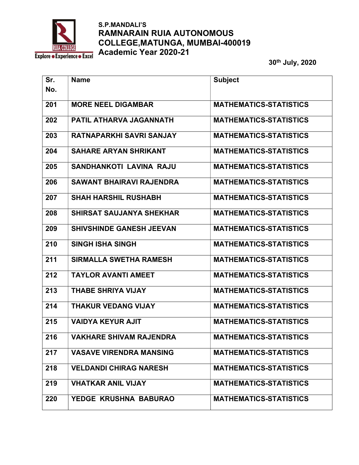

| Sr. | <b>Name</b>                     | <b>Subject</b>                |
|-----|---------------------------------|-------------------------------|
| No. |                                 |                               |
| 201 | <b>MORE NEEL DIGAMBAR</b>       | <b>MATHEMATICS-STATISTICS</b> |
| 202 | PATIL ATHARVA JAGANNATH         | <b>MATHEMATICS-STATISTICS</b> |
| 203 | RATNAPARKHI SAVRI SANJAY        | <b>MATHEMATICS-STATISTICS</b> |
| 204 | <b>SAHARE ARYAN SHRIKANT</b>    | <b>MATHEMATICS-STATISTICS</b> |
| 205 | <b>SANDHANKOTI LAVINA RAJU</b>  | <b>MATHEMATICS-STATISTICS</b> |
| 206 | <b>SAWANT BHAIRAVI RAJENDRA</b> | <b>MATHEMATICS-STATISTICS</b> |
| 207 | <b>SHAH HARSHIL RUSHABH</b>     | <b>MATHEMATICS-STATISTICS</b> |
| 208 | <b>SHIRSAT SAUJANYA SHEKHAR</b> | <b>MATHEMATICS-STATISTICS</b> |
| 209 | <b>SHIVSHINDE GANESH JEEVAN</b> | <b>MATHEMATICS-STATISTICS</b> |
| 210 | <b>SINGH ISHA SINGH</b>         | <b>MATHEMATICS-STATISTICS</b> |
| 211 | <b>SIRMALLA SWETHA RAMESH</b>   | <b>MATHEMATICS-STATISTICS</b> |
| 212 | <b>TAYLOR AVANTI AMEET</b>      | <b>MATHEMATICS-STATISTICS</b> |
| 213 | <b>THABE SHRIYA VIJAY</b>       | <b>MATHEMATICS-STATISTICS</b> |
| 214 | <b>THAKUR VEDANG VIJAY</b>      | <b>MATHEMATICS-STATISTICS</b> |
| 215 | <b>VAIDYA KEYUR AJIT</b>        | <b>MATHEMATICS-STATISTICS</b> |
| 216 | <b>VAKHARE SHIVAM RAJENDRA</b>  | <b>MATHEMATICS-STATISTICS</b> |
| 217 | <b>VASAVE VIRENDRA MANSING</b>  | <b>MATHEMATICS-STATISTICS</b> |
| 218 | <b>VELDANDI CHIRAG NARESH</b>   | <b>MATHEMATICS-STATISTICS</b> |
| 219 | <b>VHATKAR ANIL VIJAY</b>       | <b>MATHEMATICS-STATISTICS</b> |
| 220 | YEDGE KRUSHNA BABURAO           | <b>MATHEMATICS-STATISTICS</b> |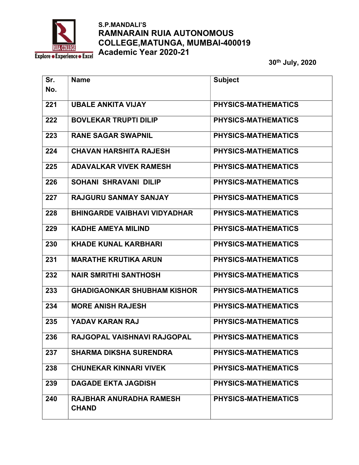

| Sr. | <b>Name</b>                                    | <b>Subject</b>             |
|-----|------------------------------------------------|----------------------------|
| No. |                                                |                            |
| 221 | <b>UBALE ANKITA VIJAY</b>                      | PHYSICS-MATHEMATICS        |
| 222 | <b>BOVLEKAR TRUPTI DILIP</b>                   | PHYSICS-MATHEMATICS        |
| 223 | <b>RANE SAGAR SWAPNIL</b>                      | PHYSICS-MATHEMATICS        |
| 224 | <b>CHAVAN HARSHITA RAJESH</b>                  | PHYSICS-MATHEMATICS        |
| 225 | <b>ADAVALKAR VIVEK RAMESH</b>                  | PHYSICS-MATHEMATICS        |
| 226 | <b>SOHANI SHRAVANI DILIP</b>                   | PHYSICS-MATHEMATICS        |
| 227 | <b>RAJGURU SANMAY SANJAY</b>                   | PHYSICS-MATHEMATICS        |
| 228 | <b>BHINGARDE VAIBHAVI VIDYADHAR</b>            | <b>PHYSICS-MATHEMATICS</b> |
| 229 | <b>KADHE AMEYA MILIND</b>                      | PHYSICS-MATHEMATICS        |
| 230 | <b>KHADE KUNAL KARBHARI</b>                    | PHYSICS-MATHEMATICS        |
| 231 | <b>MARATHE KRUTIKA ARUN</b>                    | PHYSICS-MATHEMATICS        |
| 232 | <b>NAIR SMRITHI SANTHOSH</b>                   | PHYSICS-MATHEMATICS        |
| 233 | <b>GHADIGAONKAR SHUBHAM KISHOR</b>             | PHYSICS-MATHEMATICS        |
| 234 | <b>MORE ANISH RAJESH</b>                       | PHYSICS-MATHEMATICS        |
| 235 | YADAV KARAN RAJ                                | PHYSICS-MATHEMATICS        |
| 236 | RAJGOPAL VAISHNAVI RAJGOPAL                    | <b>PHYSICS-MATHEMATICS</b> |
| 237 | <b>SHARMA DIKSHA SURENDRA</b>                  | PHYSICS-MATHEMATICS        |
| 238 | <b>CHUNEKAR KINNARI VIVEK</b>                  | PHYSICS-MATHEMATICS        |
| 239 | <b>DAGADE EKTA JAGDISH</b>                     | PHYSICS-MATHEMATICS        |
| 240 | <b>RAJBHAR ANURADHA RAMESH</b><br><b>CHAND</b> | PHYSICS-MATHEMATICS        |